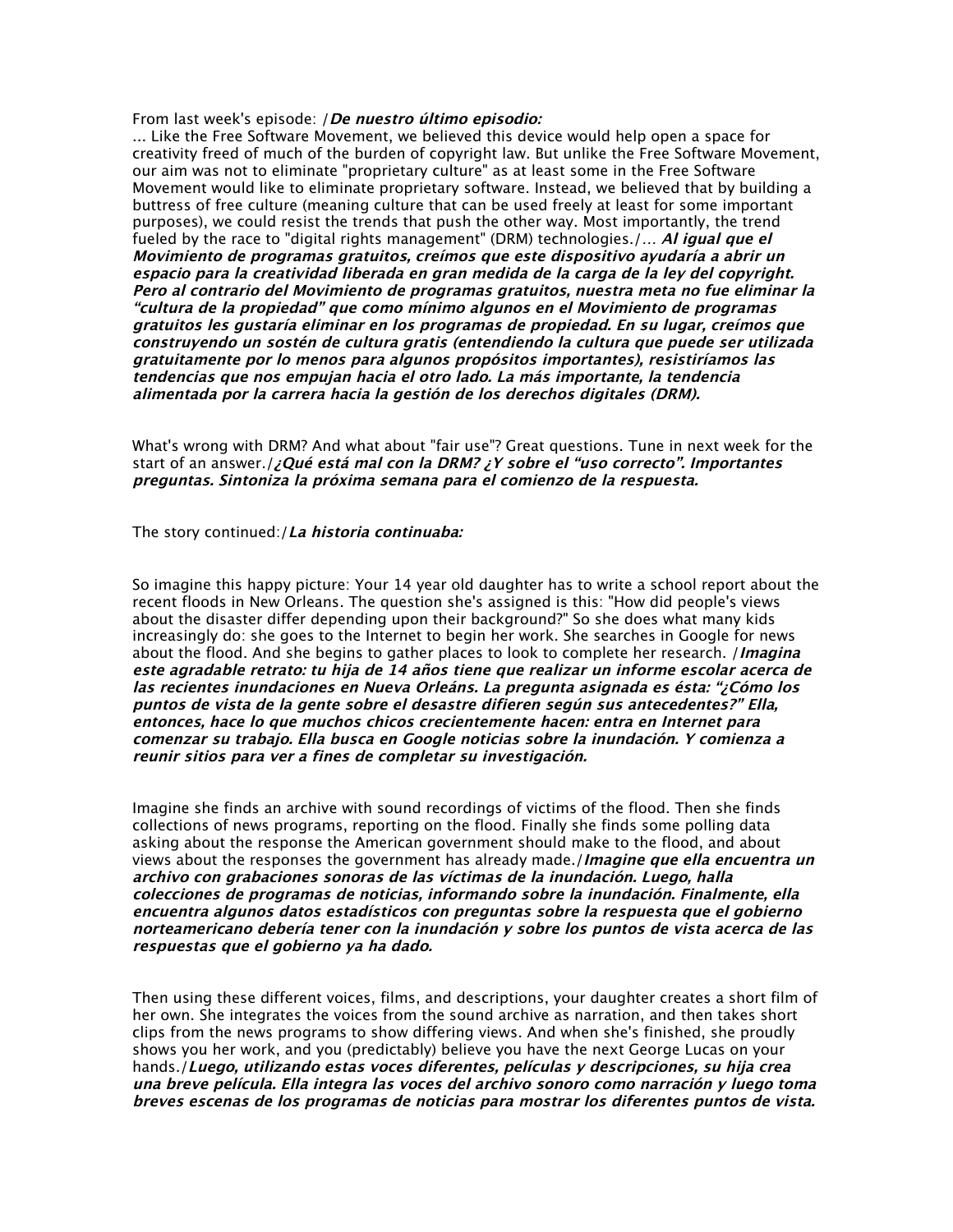From last week's episode: */De nuestro último episodio:* 

... Like the Free Software Movement, we believed this device would help open a space for creativity freed of much of the burden of copyright law. But unlike the Free Software Movement, our aim was not to eliminate "proprietary culture" as at least some in the Free Software Movement would like to eliminate proprietary software. Instead, we believed that by building a buttress of free culture (meaning culture that can be used freely at least for some important purposes), we could resist the trends that push the other way. Most importantly, the trend fueled by the race to "digital rights management" (DRM) technologies./... Al igual que el Movimiento de programas gratuitos, creímos que este dispositivo ayudaría <sup>a</sup> abrir un espacio para la creatividad liberada en gran medida de la carga de la ley del copyright. Pero al contrario del Movimiento de programas gratuitos, nuestra meta no fue eliminar la "cultura de la propiedad" que como mínimo algunos en el Movimiento de programas gratuitos les gustaría eliminar en los programas de propiedad. En su lugar, creímos que construyendo un sostén de cultura gratis (entendiendo la cultura que puede ser utilizada gratuitamente por lo menos para algunos propósitos importantes), resistiríamos las tendencias que nos empujan hacia el otro lado. La más importante, la tendencia alimentada por la carrera hacia la gestión de los derechos digitales (DRM).

What's wrong with DRM? And what about "fair use"? Great questions. Tune in next week for the start of an answer./¿Qué está mal con la DRM? ¿Y sobre el "uso correcto". Importantes preguntas. Sintoniza la próxima semana para el comienzo de la respuesta.

The story continued:/La historia continuaba:

So imagine this happy picture: Your 14 year old daughter has to write a school report about the recent floods in New Orleans. The question she's assigned is this: "How did people's views about the disaster differ depending upon their background?" So she does what many kids increasingly do: she goes to the Internet to begin her work. She searches in Google for news about the flood. And she begins to gather places to look to complete her research. *I magina* este agradable retrato: tu hija de 14 años tiene que realizar un informe escolar acerca de las recientes inundaciones en Nueva Orleáns. La pregunta asignada es ésta: "¿Cómo los puntos de vista de la gente sobre el desastre difieren según sus antecedentes?" Ella, entonces, hace lo que muchos chicos crecientemente hacen: entra en Internet para comenzar su trabajo. Ella busca en Google noticias sobre la inundación. Y comienza <sup>a</sup> reunir sitios para ver <sup>a</sup> fines de completar su investigación.

Imagine she finds an archive with sound recordings of victims of the flood. Then she finds collections of news programs, reporting on the flood. Finally she finds some polling data asking about the response the American government should make to the flood, and about views about the responses the government has already made./*Imagine que ella encuentra un* archivo con grabaciones sonoras de las víctimas de la inundación. Luego, halla colecciones de programas de noticias, informando sobre la inundación. Finalmente, ella encuentra algunos datos estadísticos con preguntas sobre la respuesta que el gobierno norteamericano debería tener con la inundación y sobre los puntos de vista acerca de las respuestas que el gobierno ya ha dado.

Then using these different voices, films, and descriptions, your daughter creates a short film of her own. She integrates the voices from the sound archive as narration, and then takes short clips from the news programs to show differing views. And when she's finished, she proudly shows you her work, and you (predictably) believe you have the next George Lucas on your hands./Luego, utilizando estas voces diferentes, películas y descripciones, su hija crea una breve película. Ella integra las voces del archivo sonoro como narración y luego toma breves escenas de los programas de noticias para mostrar los diferentes puntos de vista.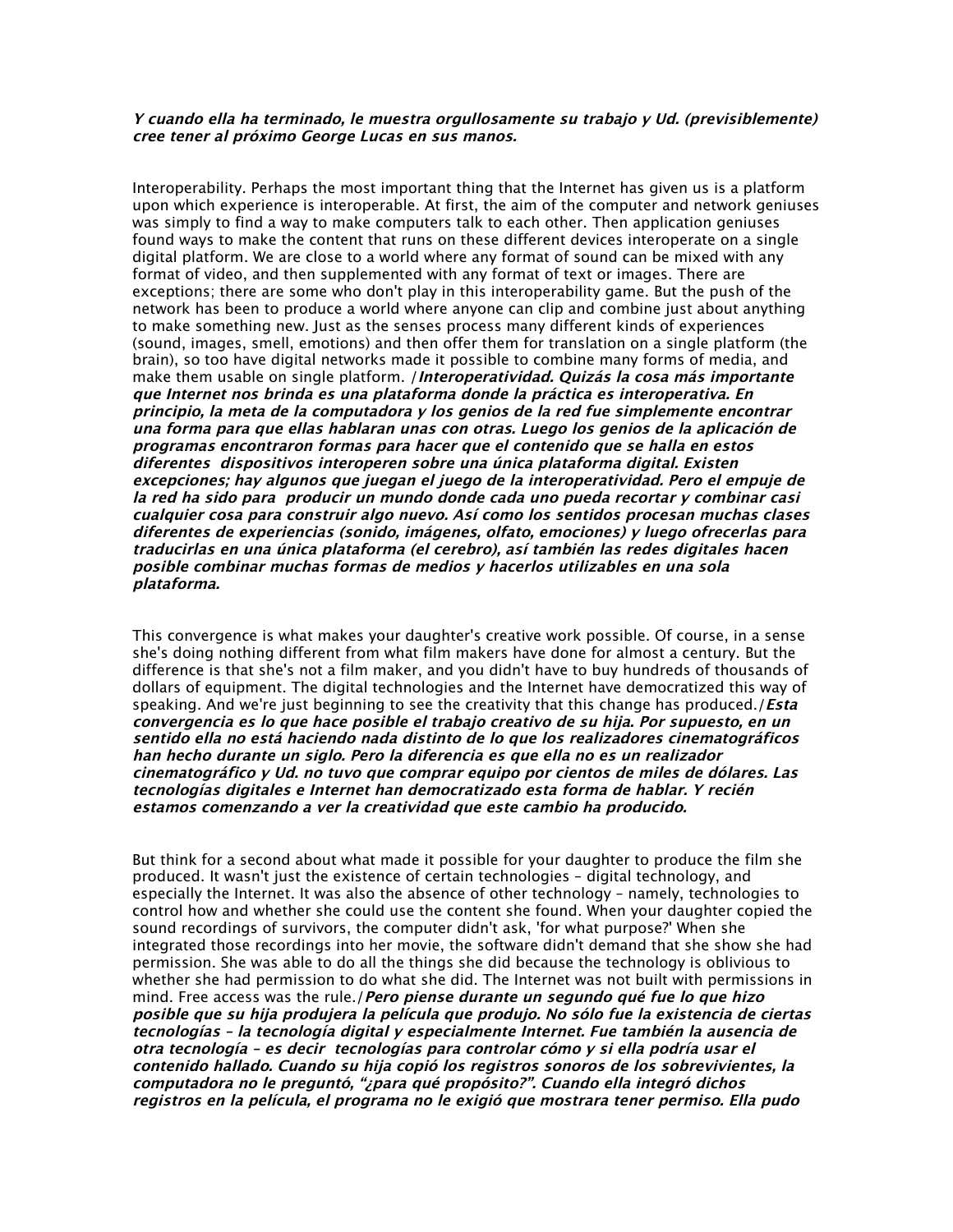## Y cuando ella ha terminado, le muestra orgullosamente su trabajo y Ud. (previsiblemente) cree tener al próximo George Lucas en sus manos.

Interoperability. Perhaps the most important thing that the Internet has given us is a platform upon which experience is interoperable. At first, the aim of the computer and network geniuses was simply to find a way to make computers talk to each other. Then application geniuses found ways to make the content that runs on these different devices interoperate on a single digital platform. We are close to a world where any format of sound can be mixed with any format of video, and then supplemented with any format of text or images. There are exceptions; there are some who don't play in this interoperability game. But the push of the network has been to produce a world where anyone can clip and combine just about anything to make something new. Just as the senses process many different kinds of experiences (sound, images, smell, emotions) and then offer them for translation on a single platform (the brain), so too have digital networks made it possible to combine many forms of media, and make them usable on single platform. *(Interoperatividad. Quizás la cosa más importante* que Internet nos brinda es una plataforma donde la práctica es interoperativa. En principio, la meta de la computadora y los genios de la red fue simplemente encontrar una forma para que ellas hablaran unas con otras. Luego los genios de la aplicación de programas encontraron formas para hacer que el contenido que se halla en estos diferentes dispositivos interoperen sobre una única plataforma digital. Existen excepciones; hay algunos que juegan el juego de la interoperatividad. Pero el empuje de la red ha sido para producir un mundo donde cada uno pueda recortar y combinar casi cualquier cosa para construir algo nuevo. Así como los sentidos procesan muchas clases diferentes de experiencias (sonido, imágenes, olfato, emociones) y luego ofrecerlas para traducirlas en una única plataforma (el cerebro), así también las redes digitales hacen posible combinar muchas formas de medios y hacerlos utilizables en una sola plataforma.

This convergence is what makes your daughter's creative work possible. Of course, in a sense she's doing nothing different from what film makers have done for almost a century. But the difference is that she's not a film maker, and you didn't have to buy hundreds of thousands of dollars of equipment. The digital technologies and the Internet have democratized this way of speaking. And we're just beginning to see the creativity that this change has produced./*Esta* convergencia es lo que hace posible el trabajo creativo de su hija. Por supuesto, en un sentido ella no está haciendo nada distinto de lo que los realizadores cinematográficos han hecho durante un siglo. Pero la diferencia es que ella no es un realizador cinematográfico y Ud. no tuvo que comprar equipo por cientos de miles de dólares. Las tecnologías digitales <sup>e</sup> Internet han democratizado esta forma de hablar. Y recién estamos comenzando <sup>a</sup> ver la creatividad que este cambio ha producido.

But think for a second about what made it possible for your daughter to produce the film she produced. It wasn't just the existence of certain technologies – digital technology, and especially the Internet. It was also the absence of other technology – namely, technologies to control how and whether she could use the content she found. When your daughter copied the sound recordings of survivors, the computer didn't ask, 'for what purpose?' When she integrated those recordings into her movie, the software didn't demand that she show she had permission. She was able to do all the things she did because the technology is oblivious to whether she had permission to do what she did. The Internet was not built with permissions in mind. Free access was the rule./*Pero piense durante un segundo qué fue lo que hizo* posible que su hija produjera la película que produjo. No sólo fue la existencia de ciertas tecnologías – la tecnología digital y especialmente Internet. Fue también la ausencia de otra tecnología – es decir tecnologías para controlar cómo y si ella podría usar el contenido hallado. Cuando su hija copió los registros sonoros de los sobrevivientes, la computadora no le preguntó, "¿para qué propósito?". Cuando ella integró dichos registros en la película, el programa no le exigió que mostrara tener permiso. Ella pudo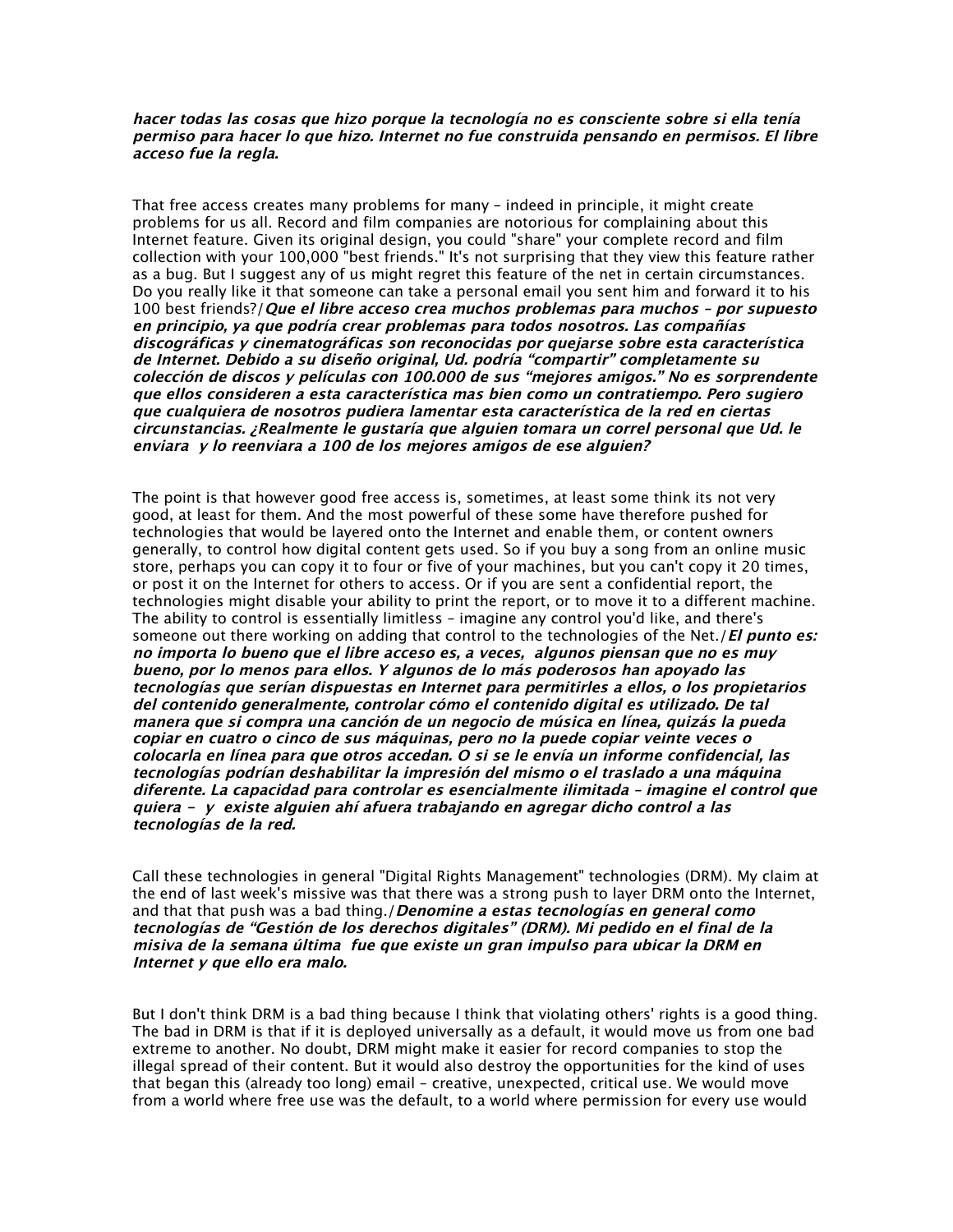## hacer todas las cosas que hizo porque la tecnología no es consciente sobre si ella tenía permiso para hacer lo que hizo. Internet no fue construida pensando en permisos. El libre acceso fue la regla.

That free access creates many problems for many – indeed in principle, it might create problems for us all. Record and film companies are notorious for complaining about this Internet feature. Given its original design, you could "share" your complete record and film collection with your 100,000 "best friends." It's not surprising that they view this feature rather as a bug. But I suggest any of us might regret this feature of the net in certain circumstances. Do you really like it that someone can take a personal email you sent him and forward it to his 100 best friends?/ Que el libre acceso crea muchos problemas para muchos - por supuesto en principio, ya que podría crear problemas para todos nosotros. Las compañías discográficas y cinematográficas son reconocidas por quejarse sobre esta característica de Internet. Debido <sup>a</sup> su diseño original, Ud. podría "compartir" completamente su colección de discos y películas con 100.000 de sus "mejores amigos." No es sorprendente que ellos consideren <sup>a</sup> esta característica mas bien como un contratiempo. Pero sugiero que cualquiera de nosotros pudiera lamentar esta característica de la red en ciertas circunstancias. ¿Realmente le gustaría que alguien tomara un correl personal que Ud. le enviara y lo reenviara <sup>a</sup> 100 de los mejores amigos de ese alguien?

The point is that however good free access is, sometimes, at least some think its not very good, at least for them. And the most powerful of these some have therefore pushed for technologies that would be layered onto the Internet and enable them, or content owners generally, to control how digital content gets used. So if you buy a song from an online music store, perhaps you can copy it to four or five of your machines, but you can't copy it 20 times, or post it on the Internet for others to access. Or if you are sent a confidential report, the technologies might disable your ability to print the report, or to move it to a different machine. The ability to control is essentially limitless – imagine any control you'd like, and there's someone out there working on adding that control to the technologies of the Net. */El punto es:* no importa lo bueno que el libre acceso es, a veces, algunos piensan que no es muy bueno, por lo menos para ellos. Y algunos de lo más poderosos han apoyado las tecnologías que serían dispuestas en Internet para permitirles <sup>a</sup> ellos, o los propietarios del contenido generalmente, controlar cómo el contenido digital es utilizado. De tal manera que si compra una canción de un negocio de música en línea, quizás la pueda copiar en cuatro <sup>o</sup> cinco de sus máquinas, pero no la puede copiar veinte veces <sup>o</sup> colocarla en línea para que otros accedan. O si se le envía un informe confidencial, las tecnologías podrían deshabilitar la impresión del mismo <sup>o</sup> el traslado <sup>a</sup> una máquina diferente. La capacidad para controlar es esencialmente ilimitada – imagine el control que quiera - y existe alguien ahí afuera trabajando en agregar dicho control <sup>a</sup> las tecnologías de la red.

Call these technologies in general "Digital Rights Management" technologies (DRM). My claim at the end of last week's missive was that there was a strong push to layer DRM onto the Internet, and that that push was a bad thing./Denomine a estas tecnologías en general como tecnologías de "Gestión de los derechos digitales" (DRM). Mi pedido en el final de la misiva de la semana última fue que existe un gran impulso para ubicar la DRM en Internet y que ello era malo.

But I don't think DRM is a bad thing because I think that violating others' rights is a good thing. The bad in DRM is that if it is deployed universally as a default, it would move us from one bad extreme to another. No doubt, DRM might make it easier for record companies to stop the illegal spread of their content. But it would also destroy the opportunities for the kind of uses that began this (already too long) email – creative, unexpected, critical use. We would move from a world where free use was the default, to a world where permission for every use would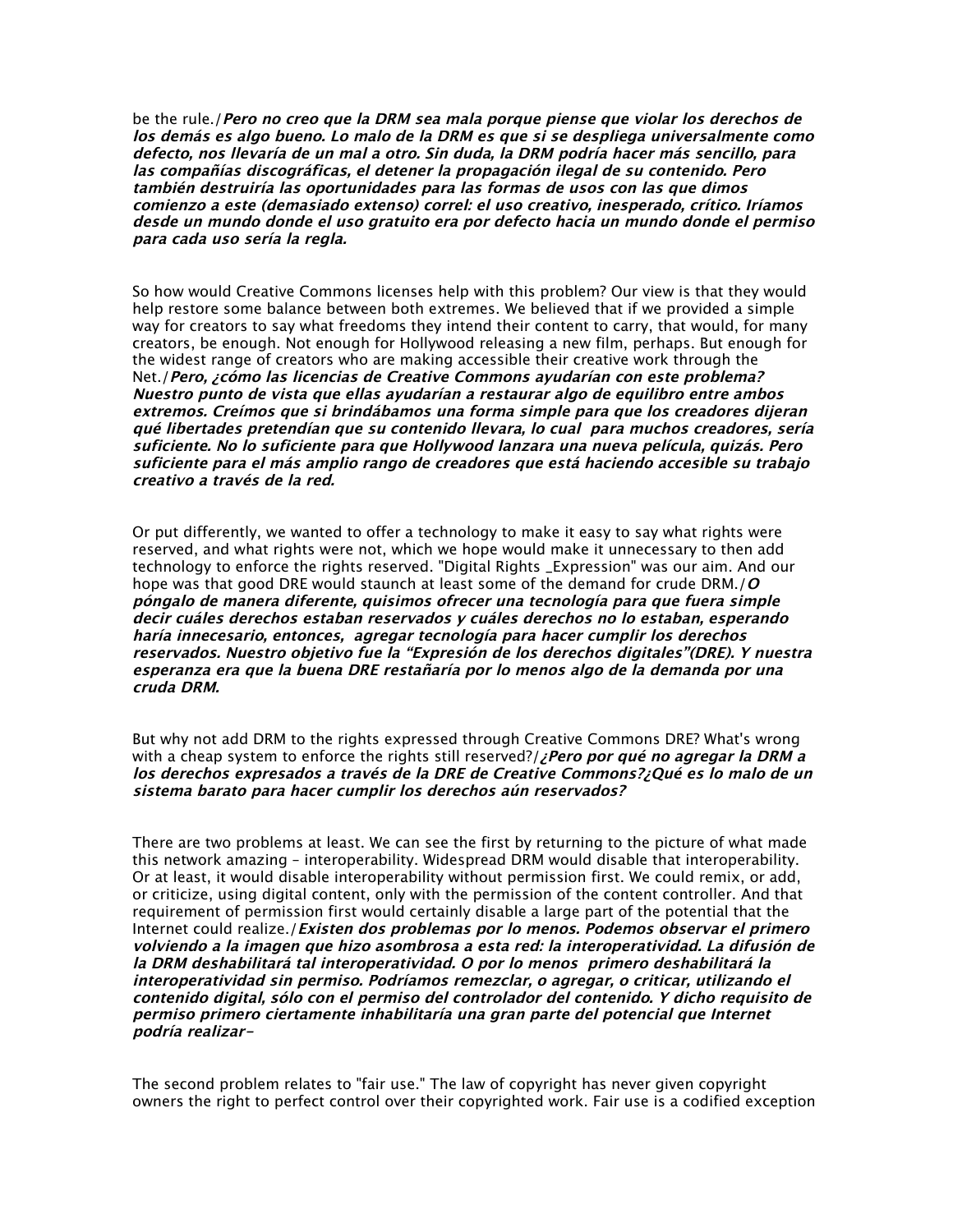be the rule./Pero no creo que la DRM sea mala porque piense que violar los derechos de los demás es algo bueno. Lo malo de la DRM es que si se despliega universalmente como defecto, nos llevaría de un mal <sup>a</sup> otro. Sin duda, la DRM podría hacer más sencillo, para las compañías discográficas, el detener la propagación ilegal de su contenido. Pero también destruiría las oportunidades para las formas de usos con las que dimos comienzo <sup>a</sup> este (demasiado extenso) correl: el uso creativo, inesperado, crítico. Iríamos desde un mundo donde el uso gratuito era por defecto hacia un mundo donde el permiso para cada uso sería la regla.

So how would Creative Commons licenses help with this problem? Our view is that they would help restore some balance between both extremes. We believed that if we provided a simple way for creators to say what freedoms they intend their content to carry, that would, for many creators, be enough. Not enough for Hollywood releasing a new film, perhaps. But enough for the widest range of creators who are making accessible their creative work through the Net./Pero, ¿cómo las licencias de Creative Commons ayudarían con este problema? Nuestro punto de vista que ellas ayudarían <sup>a</sup> restaurar algo de equilibro entre ambos extremos. Creímos que si brindábamos una forma simple para que los creadores dijeran qué libertades pretendían que su contenido llevara, lo cual para muchos creadores, sería suficiente. No lo suficiente para que Hollywood lanzara una nueva película, quizás. Pero suficiente para el más amplio rango de creadores que está haciendo accesible su trabajo creativo a través de la red.

Or put differently, we wanted to offer a technology to make it easy to say what rights were reserved, and what rights were not, which we hope would make it unnecessary to then add technology to enforce the rights reserved. "Digital Rights \_Expression" was our aim. And our hope was that good DRE would staunch at least some of the demand for crude DRM./ $O$ póngalo de manera diferente, quisimos ofrecer una tecnología para que fuera simple decir cuáles derechos estaban reservados y cuáles derechos no lo estaban, esperando haría innecesario, entonces, agregar tecnología para hacer cumplir los derechos reservados. Nuestro objetivo fue la "Expresión de los derechos digitales"(DRE). Y nuestra esperanza era que la buena DRE restañaría por lo menos algo de la demanda por una cruda DRM.

But why not add DRM to the rights expressed through Creative Commons DRE? What's wrong with a cheap system to enforce the rights still reserved?/ $j$ Pero por qué no agregar la DRM a los derechos expresados <sup>a</sup> través de la DRE de Creative Commons?¿Qué es lo malo de un sistema barato para hacer cumplir los derechos aún reservados?

There are two problems at least. We can see the first by returning to the picture of what made this network amazing – interoperability. Widespread DRM would disable that interoperability. Or at least, it would disable interoperability without permission first. We could remix, or add, or criticize, using digital content, only with the permission of the content controller. And that requirement of permission first would certainly disable a large part of the potential that the Internet could realize./Existen dos problemas por lo menos. Podemos observar el primero volviendo <sup>a</sup> la imagen que hizo asombrosa <sup>a</sup> esta red: la interoperatividad. La difusión de la DRM deshabilitará tal interoperatividad. O por lo menos primero deshabilitará la interoperatividad sin permiso. Podríamos remezclar, o agregar, o criticar, utilizando el contenido digital, sólo con el permiso del controlador del contenido. Y dicho requisito de permiso primero ciertamente inhabilitaría una gran parte del potencial que Internet podría realizar-

The second problem relates to "fair use." The law of copyright has never given copyright owners the right to perfect control over their copyrighted work. Fair use is a codified exception